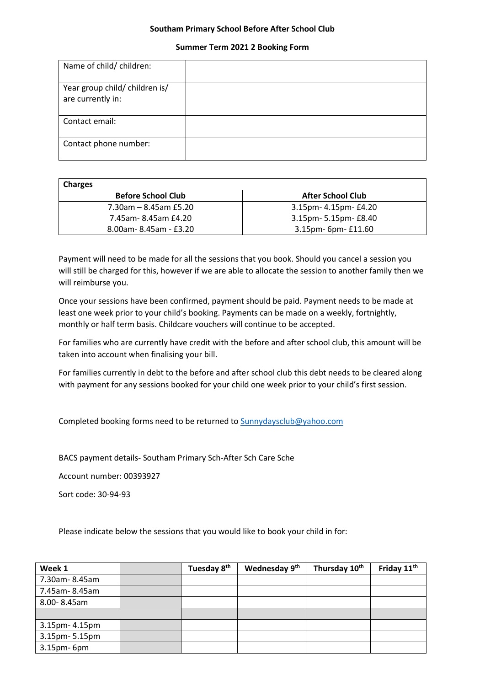## **Southam Primary School Before After School Club**

## **Summer Term 2021 2 Booking Form**

| Name of child/ children:                            |  |
|-----------------------------------------------------|--|
| Year group child/ children is/<br>are currently in: |  |
| Contact email:                                      |  |
| Contact phone number:                               |  |

| <b>Charges</b>            |                          |
|---------------------------|--------------------------|
| <b>Before School Club</b> | <b>After School Club</b> |
| 7.30am – 8.45am £5.20     | 3.15pm- 4.15pm- £4.20    |
| 7.45am-8.45am £4.20       | 3.15pm- 5.15pm- £8.40    |
| 8.00am-8.45am - £3.20     | 3.15pm- 6pm- £11.60      |

Payment will need to be made for all the sessions that you book. Should you cancel a session you will still be charged for this, however if we are able to allocate the session to another family then we will reimburse you.

Once your sessions have been confirmed, payment should be paid. Payment needs to be made at least one week prior to your child's booking. Payments can be made on a weekly, fortnightly, monthly or half term basis. Childcare vouchers will continue to be accepted.

For families who are currently have credit with the before and after school club, this amount will be taken into account when finalising your bill.

For families currently in debt to the before and after school club this debt needs to be cleared along with payment for any sessions booked for your child one week prior to your child's first session.

Completed booking forms need to be returned to [Sunnydaysclub@yahoo.com](mailto:Sunnydaysclub@yahoo.com)

BACS payment details- Southam Primary Sch-After Sch Care Sche

Account number: 00393927

Sort code: 30-94-93

Please indicate below the sessions that you would like to book your child in for:

| Week 1         | Tuesday 8 <sup>th</sup> | Wednesday 9th | Thursday 10th | Friday 11 <sup>th</sup> |
|----------------|-------------------------|---------------|---------------|-------------------------|
| 7.30am-8.45am  |                         |               |               |                         |
| 7.45am-8.45am  |                         |               |               |                         |
| 8.00-8.45am    |                         |               |               |                         |
|                |                         |               |               |                         |
| 3.15pm- 4.15pm |                         |               |               |                         |
| 3.15pm-5.15pm  |                         |               |               |                         |
| 3.15pm-6pm     |                         |               |               |                         |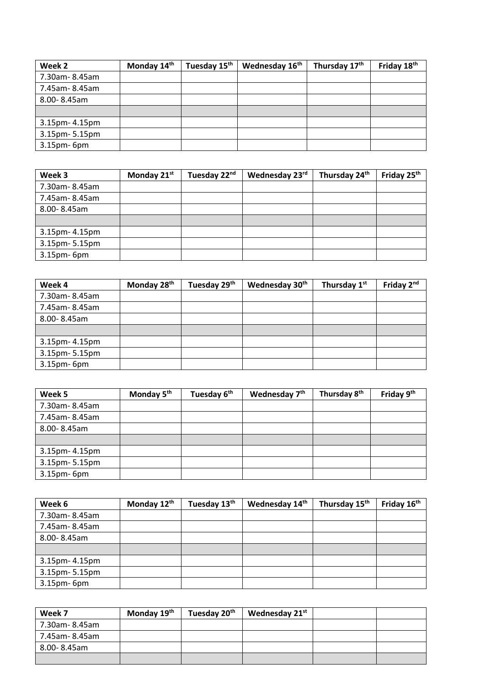| Week 2         | Monday 14 <sup>th</sup> | Tuesday 15 <sup>th</sup> | Wednesday 16 <sup>th</sup> | Thursday 17th | Friday 18 <sup>th</sup> |
|----------------|-------------------------|--------------------------|----------------------------|---------------|-------------------------|
| 7.30am-8.45am  |                         |                          |                            |               |                         |
| 7.45am-8.45am  |                         |                          |                            |               |                         |
| 8.00-8.45am    |                         |                          |                            |               |                         |
|                |                         |                          |                            |               |                         |
| 3.15pm- 4.15pm |                         |                          |                            |               |                         |
| 3.15pm-5.15pm  |                         |                          |                            |               |                         |
| 3.15pm-6pm     |                         |                          |                            |               |                         |

| Week 3         | Monday 21st | Tuesday 22nd | Wednesday 23rd | Thursday 24th | Friday 25th |
|----------------|-------------|--------------|----------------|---------------|-------------|
| 7.30am-8.45am  |             |              |                |               |             |
| 7.45am-8.45am  |             |              |                |               |             |
| 8.00-8.45am    |             |              |                |               |             |
|                |             |              |                |               |             |
| 3.15pm- 4.15pm |             |              |                |               |             |
| 3.15pm-5.15pm  |             |              |                |               |             |
| 3.15pm-6pm     |             |              |                |               |             |

| Week 4            | Monday 28 <sup>th</sup> | Tuesday 29th | Wednesday 30 <sup>th</sup> | Thursday 1st | Friday 2 <sup>nd</sup> |
|-------------------|-------------------------|--------------|----------------------------|--------------|------------------------|
| 7.30am-8.45am     |                         |              |                            |              |                        |
| 7.45am-8.45am     |                         |              |                            |              |                        |
| 8.00-8.45am       |                         |              |                            |              |                        |
|                   |                         |              |                            |              |                        |
| 3.15pm- 4.15pm    |                         |              |                            |              |                        |
| 3.15pm-5.15pm     |                         |              |                            |              |                        |
| $3.15$ pm- $6$ pm |                         |              |                            |              |                        |

| Week 5         | Monday 5 <sup>th</sup> | Tuesday 6 <sup>th</sup> | Wednesday 7 <sup>th</sup> | Thursday 8 <sup>th</sup> | Friday 9 <sup>th</sup> |
|----------------|------------------------|-------------------------|---------------------------|--------------------------|------------------------|
| 7.30am-8.45am  |                        |                         |                           |                          |                        |
| 7.45am-8.45am  |                        |                         |                           |                          |                        |
| 8.00-8.45am    |                        |                         |                           |                          |                        |
|                |                        |                         |                           |                          |                        |
| 3.15pm- 4.15pm |                        |                         |                           |                          |                        |
| 3.15pm-5.15pm  |                        |                         |                           |                          |                        |
| 3.15pm-6pm     |                        |                         |                           |                          |                        |

| Week 6         | Monday 12th | Tuesday 13th | Wednesday 14th | Thursday 15 <sup>th</sup> | Friday 16th |
|----------------|-------------|--------------|----------------|---------------------------|-------------|
| 7.30am-8.45am  |             |              |                |                           |             |
| 7.45am-8.45am  |             |              |                |                           |             |
| 8.00-8.45am    |             |              |                |                           |             |
|                |             |              |                |                           |             |
| 3.15pm- 4.15pm |             |              |                |                           |             |
| 3.15pm-5.15pm  |             |              |                |                           |             |
| 3.15pm-6pm     |             |              |                |                           |             |

| Week 7         | Monday 19 <sup>th</sup> | Tuesday 20 <sup>th</sup> | Wednesday 21st |  |
|----------------|-------------------------|--------------------------|----------------|--|
| 7.30am- 8.45am |                         |                          |                |  |
| 7.45am-8.45am  |                         |                          |                |  |
| 8.00-8.45am    |                         |                          |                |  |
|                |                         |                          |                |  |